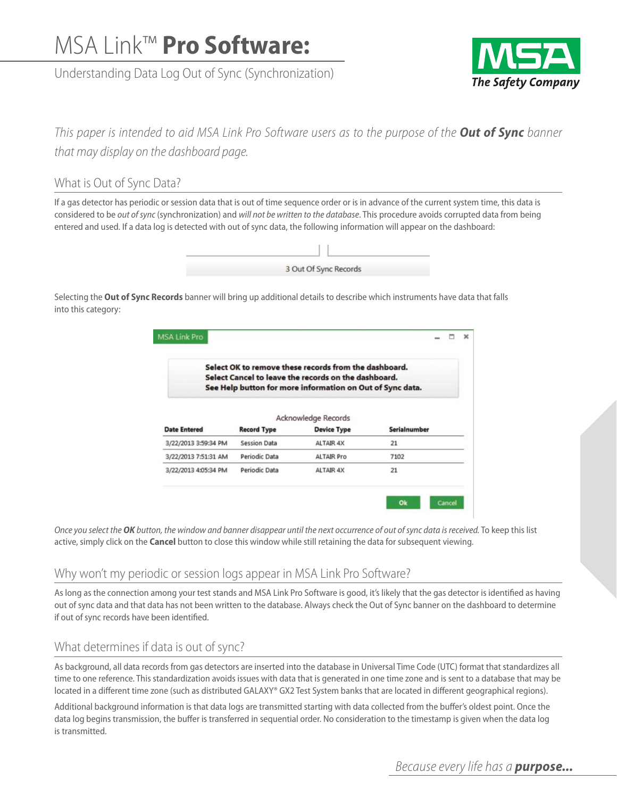# MSA Link™ **Pro Software:**

Understanding Data Log Out of Sync (Synchronization)



*This paper is intended to aid MSA Link Pro Software users as to the purpose of the Out of Sync banner that may display on the dashboard page.*

# What is Out of Sync Data?

If a gas detector has periodic or session data that is out of time sequence order or is in advance of the current system time, this data is considered to be *out of sync* (synchronization) and *will not be written to the database*. This procedure avoids corrupted data from being entered and used. If a data log is detected with out of sync data, the following information will appear on the dashboard:



Selecting the **Out of Sync Records** banner will bring up additional details to describe which instruments have data that falls into this category:

| Select OK to remove these records from the dashboard.<br>Select Cancel to leave the records on the dashboard.<br>See Help button for more information on Out of Sync data. |                     |                     |              |  |  |
|----------------------------------------------------------------------------------------------------------------------------------------------------------------------------|---------------------|---------------------|--------------|--|--|
|                                                                                                                                                                            |                     | Acknowledge Records |              |  |  |
| <b>Date Entered</b>                                                                                                                                                        | <b>Record Type</b>  | <b>Device Type</b>  | Serialnumber |  |  |
| 3/22/2013 3:59:34 PM                                                                                                                                                       | <b>Session Data</b> | ALTAIR 4X           | 21           |  |  |
| 3/22/2013 7:51:31 AM                                                                                                                                                       | Periodic Data       | <b>ALTAIR Pro</b>   | 7102         |  |  |
|                                                                                                                                                                            |                     |                     | 21           |  |  |

*Once you select the OK button, the window and banner disappear until the next occurrence of out of sync data is received.* To keep this list active, simply click on the **Cancel** button to close this window while still retaining the data for subsequent viewing.

# Why won't my periodic or session logs appear in MSA Link Pro Software?

As long as the connection among your test stands and MSA Link Pro Software is good, it's likely that the gas detector is identified as having out of sync data and that data has not been written to the database. Always check the Out of Sync banner on the dashboard to determine if out of sync records have been identified.

# What determines if data is out of sync?

As background, all data records from gas detectors are inserted into the database in Universal Time Code (UTC) format that standardizes all time to one reference. This standardization avoids issues with data that is generated in one time zone and is sent to a database that may be located in a different time zone (such as distributed GALAXY® GX2 Test System banks that are located in different geographical regions).

Additional background information is that data logs are transmitted starting with data collected from the buffer's oldest point. Once the data log begins transmission, the buffer is transferred in sequential order. No consideration to the timestamp is given when the data log is transmitted.